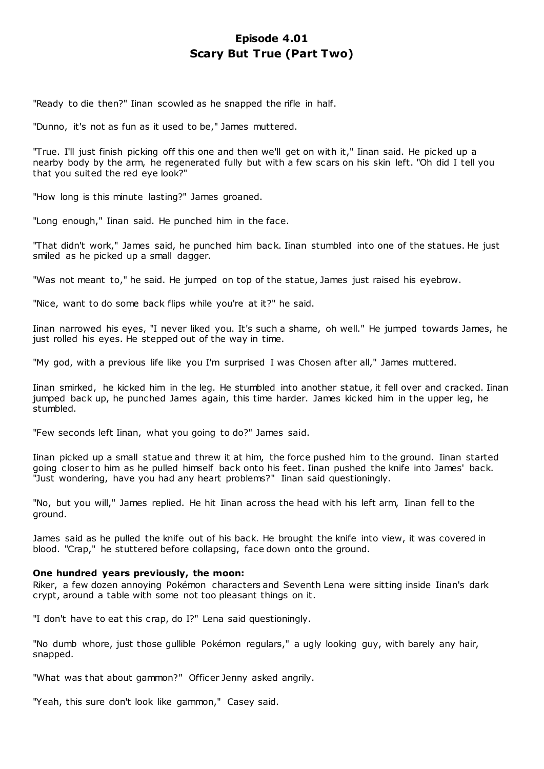# **Episode 4.01 Scary But True (Part Two)**

"Ready to die then?" Iinan scowled as he snapped the rifle in half.

"Dunno, it's not as fun as it used to be," James muttered.

"True. I'll just finish picking off this one and then we'll get on with it," Iinan said. He picked up a nearby body by the arm, he regenerated fully but with a few scars on his skin left. "Oh did I tell you that you suited the red eye look?"

"How long is this minute lasting?" James groaned.

"Long enough," Iinan said. He punched him in the face.

"That didn't work," James said, he punched him bac k. Iinan stumbled into one of the statues. He just smiled as he picked up a small dagger.

"Was not meant to," he said. He jumped on top of the statue, James just raised his eyebrow.

"Nice, want to do some back flips while you're at it?" he said.

Iinan narrowed his eyes, "I never liked you. It's such a shame, oh well." He jumped towards James, he just rolled his eyes. He stepped out of the way in time.

"My god, with a previous life like you I'm surprised I was Chosen after all," James muttered.

Iinan smirked, he kicked him in the leg. He stumbled into another statue, it fell over and cracked. Iinan jumped back up, he punched James again, this time harder. James kicked him in the upper leg, he stumbled.

"Few seconds left Iinan, what you going to do?" James said.

Iinan picked up a small statue and threw it at him, the force pushed him to the ground. Iinan started going closer to him as he pulled himself back onto his feet. Iinan pushed the knife into James' back. "Just wondering, have you had any heart problems?" Iinan said questioningly.

"No, but you will," James replied. He hit Iinan across the head with his left arm, Iinan fell to the ground.

James said as he pulled the knife out of his back. He brought the knife into view, it was covered in blood. "Crap," he stuttered before collapsing, face down onto the ground.

### **One hundred years previously, the moon:**

Riker, a few dozen annoying Pokémon characters and Seventh Lena were sitting inside Iinan's dark crypt, around a table with some not too pleasant things on it.

"I don't have to eat this crap, do I?" Lena said questioningly.

"No dumb whore, just those gullible Pokémon regulars," a ugly looking guy, with barely any hair, snapped.

"What was that about gammon?" Officer Jenny asked angrily.

"Yeah, this sure don't look like gammon," Casey said.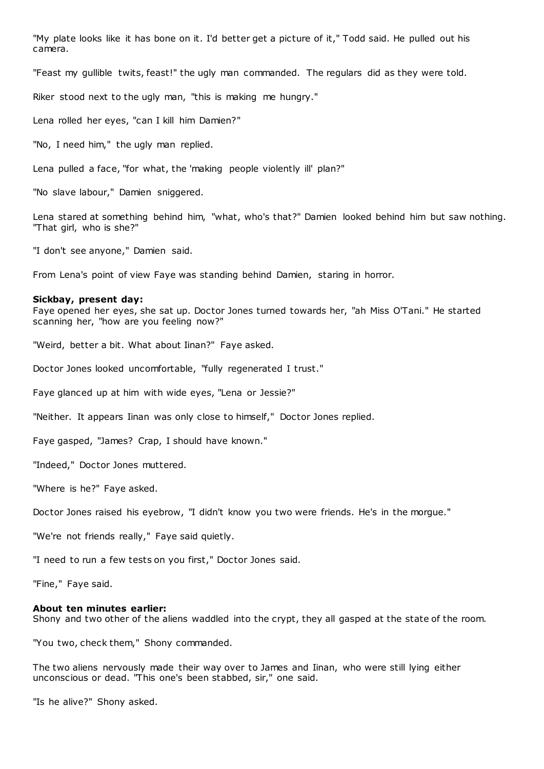"My plate looks like it has bone on it. I'd better get a picture of it," Todd said. He pulled out his camera.

"Feast my gullible twits, feast!" the ugly man commanded. The regulars did as they were told.

Riker stood next to the ugly man, "this is making me hungry."

Lena rolled her eyes, "can I kill him Damien?"

"No, I need him," the ugly man replied.

Lena pulled a face, "for what, the 'making people violently ill' plan?"

"No slave labour," Damien sniggered.

Lena stared at something behind him, "what, who's that?" Damien looked behind him but saw nothing. "That girl, who is she?"

"I don't see anyone," Damien said.

From Lena's point of view Faye was standing behind Damien, staring in horror.

#### **Sickbay, present day:**

Faye opened her eyes, she sat up. Doctor Jones turned towards her, "ah Miss O'Tani." He started scanning her, "how are you feeling now?"

"Weird, better a bit. What about Iinan?" Faye asked.

Doctor Jones looked uncomfortable, "fully regenerated I trust."

Faye glanced up at him with wide eyes, "Lena or Jessie?"

"Neither. It appears Iinan was only close to himself," Doctor Jones replied.

Faye gasped, "James? Crap, I should have known."

"Indeed," Doctor Jones muttered.

"Where is he?" Faye asked.

Doctor Jones raised his eyebrow, "I didn't know you two were friends. He's in the morgue."

"We're not friends really," Faye said quietly.

"I need to run a few tests on you first," Doctor Jones said.

"Fine," Faye said.

#### **About ten minutes earlier:**

Shony and two other of the aliens waddled into the crypt, they all gasped at the state of the room.

"You two, check them," Shony commanded.

The two aliens nervously made their way over to James and Iinan, who were still lying either unconscious or dead. "This one's been stabbed, sir," one said.

"Is he alive?" Shony asked.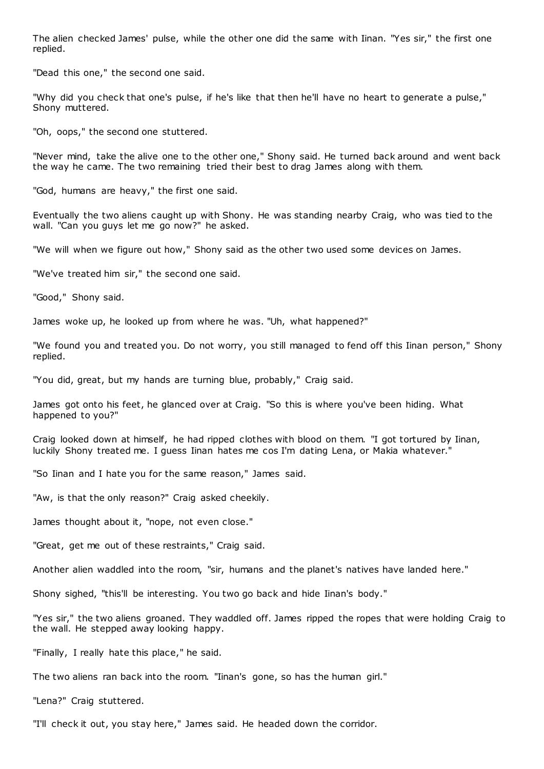The alien checked James' pulse, while the other one did the same with Iinan. "Yes sir," the first one replied.

"Dead this one," the second one said.

"Why did you check that one's pulse, if he's like that then he'll have no heart to generate a pulse," Shony muttered.

"Oh, oops," the second one stuttered.

"Never mind, take the alive one to the other one," Shony said. He turned back around and went back the way he came. The two remaining tried their best to drag James along with them.

"God, humans are heavy," the first one said.

Eventually the two aliens caught up with Shony. He was standing nearby Craig, who was tied to the wall. "Can you guys let me go now?" he asked.

"We will when we figure out how," Shony said as the other two used some devices on James.

"We've treated him sir," the second one said.

"Good," Shony said.

James woke up, he looked up from where he was. "Uh, what happened?"

"We found you and treated you. Do not worry, you still managed to fend off this Iinan person," Shony replied.

"You did, great, but my hands are turning blue, probably," Craig said.

James got onto his feet, he glanced over at Craig. "So this is where you've been hiding. What happened to you?"

Craig looked down at himself, he had ripped clothes with blood on them. "I got tortured by Iinan, luckily Shony treated me. I guess Iinan hates me cos I'm dating Lena, or Makia whatever."

"So Iinan and I hate you for the same reason," James said.

"Aw, is that the only reason?" Craig asked cheekily.

James thought about it, "nope, not even close."

"Great, get me out of these restraints," Craig said.

Another alien waddled into the room, "sir, humans and the planet's natives have landed here."

Shony sighed, "this'll be interesting. You two go back and hide Iinan's body."

"Yes sir," the two aliens groaned. They waddled off. James ripped the ropes that were holding Craig to the wall. He stepped away looking happy.

"Finally, I really hate this place," he said.

The two aliens ran back into the room. "Iinan's gone, so has the human girl."

"Lena?" Craig stuttered.

"I'll check it out, you stay here," James said. He headed down the corridor.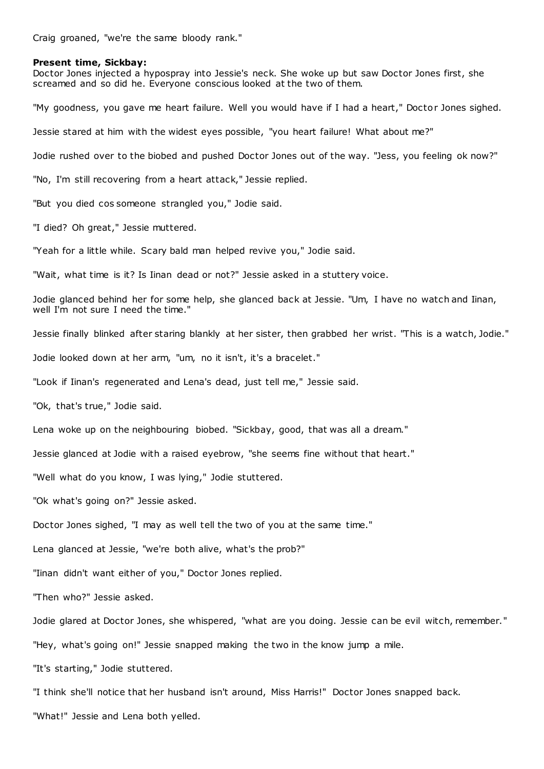Craig groaned, "we're the same bloody rank."

#### **Present time, Sickbay:**

Doctor Jones injected a hypospray into Jessie's neck. She woke up but saw Doctor Jones first, she screamed and so did he. Everyone conscious looked at the two of them. "My goodness, you gave me heart failure. Well you would have if I had a heart," Doctor Jones sighed. Jessie stared at him with the widest eyes possible, "you heart failure! What about me?" Jodie rushed over to the biobed and pushed Doctor Jones out of the way. "Jess, you feeling ok now?" "No, I'm still recovering from a heart attack," Jessie replied. "But you died cos someone strangled you," Jodie said. "I died? Oh great," Jessie muttered. "Yeah for a little while. Scary bald man helped revive you," Jodie said. "Wait, what time is it? Is Iinan dead or not?" Jessie asked in a stuttery voice. Jodie glanced behind her for some help, she glanced back at Jessie. "Um, I have no watch and Iinan, well I'm not sure I need the time." Jessie finally blinked after staring blankly at her sister, then grabbed her wrist. "This is a watch, Jodie." Jodie looked down at her arm, "um, no it isn't, it's a bracelet." "Look if Iinan's regenerated and Lena's dead, just tell me," Jessie said. "Ok, that's true," Jodie said. Lena woke up on the neighbouring biobed. "Sickbay, good, that was all a dream." Jessie glanced at Jodie with a raised eyebrow, "she seems fine without that heart." "Well what do you know, I was lying," Jodie stuttered. "Ok what's going on?" Jessie asked. Doctor Jones sighed, "I may as well tell the two of you at the same time." Lena glanced at Jessie, "we're both alive, what's the prob?" "Iinan didn't want either of you," Doctor Jones replied. "Then who?" Jessie asked. Jodie glared at Doctor Jones, she whispered, "what are you doing. Jessie can be evil witch, remember." "Hey, what's going on!" Jessie snapped making the two in the know jump a mile. "It's starting," Jodie stuttered. "I think she'll notice that her husband isn't around, Miss Harris!" Doctor Jones snapped back.

"What!" Jessie and Lena both yelled.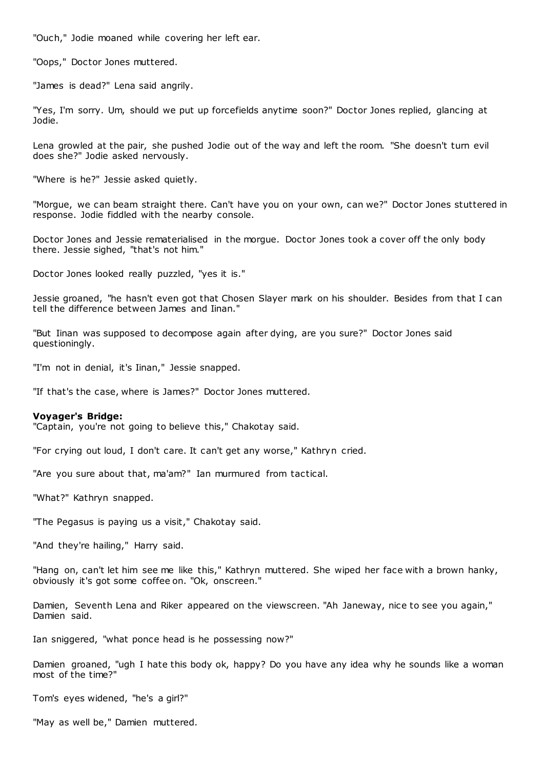"Ouch," Jodie moaned while covering her left ear.

"Oops," Doctor Jones muttered.

"James is dead?" Lena said angrily.

"Yes, I'm sorry. Um, should we put up forcefields anytime soon?" Doctor Jones replied, glancing at Jodie.

Lena growled at the pair, she pushed Jodie out of the way and left the room. "She doesn't turn evil does she?" Jodie asked nervously.

"Where is he?" Jessie asked quietly.

"Morgue, we can beam straight there. Can't have you on your own, can we?" Doctor Jones stuttered in response. Jodie fiddled with the nearby console.

Doctor Jones and Jessie rematerialised in the morgue. Doctor Jones took a cover off the only body there. Jessie sighed, "that's not him."

Doctor Jones looked really puzzled, "yes it is."

Jessie groaned, "he hasn't even got that Chosen Slayer mark on his shoulder. Besides from that I can tell the difference between James and Iinan."

"But Iinan was supposed to decompose again after dying, are you sure?" Doctor Jones said questioningly.

"I'm not in denial, it's Iinan," Jessie snapped.

"If that's the case, where is James?" Doctor Jones muttered.

### **Voyager's Bridge:**

"Captain, you're not going to believe this," Chakotay said.

"For crying out loud, I don't care. It can't get any worse," Kathryn cried.

"Are you sure about that, ma'am?" Ian murmured from tactical.

"What?" Kathryn snapped.

"The Pegasus is paying us a visit," Chakotay said.

"And they're hailing," Harry said.

"Hang on, can't let him see me like this," Kathryn muttered. She wiped her face with a brown hanky, obviously it's got some coffee on. "Ok, onscreen."

Damien, Seventh Lena and Riker appeared on the viewscreen. "Ah Janeway, nice to see you again," Damien said.

Ian sniggered, "what ponce head is he possessing now?"

Damien groaned, "ugh I hate this body ok, happy? Do you have any idea why he sounds like a woman most of the time?"

Tom's eyes widened, "he's a girl?"

"May as well be," Damien muttered.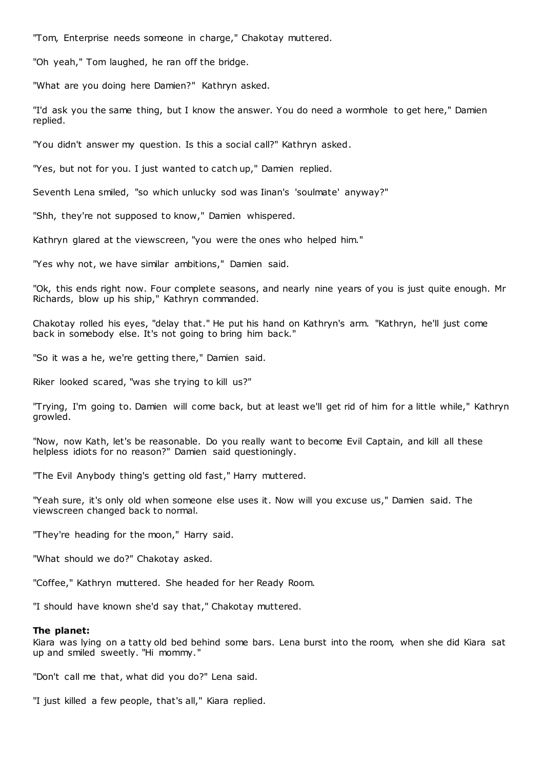"Tom, Enterprise needs someone in charge," Chakotay muttered.

"Oh yeah," Tom laughed, he ran off the bridge.

"What are you doing here Damien?" Kathryn asked.

"I'd ask you the same thing, but I know the answer. You do need a wormhole to get here," Damien replied.

"You didn't answer my question. Is this a social call?" Kathryn asked.

"Yes, but not for you. I just wanted to catch up," Damien replied.

Seventh Lena smiled, "so which unlucky sod was Iinan's 'soulmate' anyway?"

"Shh, they're not supposed to know," Damien whispered.

Kathryn glared at the viewscreen, "you were the ones who helped him."

"Yes why not, we have similar ambitions," Damien said.

"Ok, this ends right now. Four complete seasons, and nearly nine years of you is just quite enough. Mr Richards, blow up his ship," Kathryn commanded.

Chakotay rolled his eyes, "delay that." He put his hand on Kathryn's arm. "Kathryn, he'll just come back in somebody else. It's not going to bring him back."

"So it was a he, we're getting there," Damien said.

Riker looked scared, "was she trying to kill us?"

"Trying, I'm going to. Damien will come back, but at least we'll get rid of him for a little while," Kathryn growled.

"Now, now Kath, let's be reasonable. Do you really want to become Evil Captain, and kill all these helpless idiots for no reason?" Damien said questioningly.

"The Evil Anybody thing's getting old fast," Harry muttered.

"Yeah sure, it's only old when someone else uses it. Now will you excuse us," Damien said. The viewscreen changed back to normal.

"They're heading for the moon," Harry said.

"What should we do?" Chakotay asked.

"Coffee," Kathryn muttered. She headed for her Ready Room.

"I should have known she'd say that," Chakotay muttered.

### **The planet:**

Kiara was lying on a tatty old bed behind some bars. Lena burst into the room, when she did Kiara sat up and smiled sweetly. "Hi mommy."

"Don't call me that, what did you do?" Lena said.

"I just killed a few people, that's all," Kiara replied.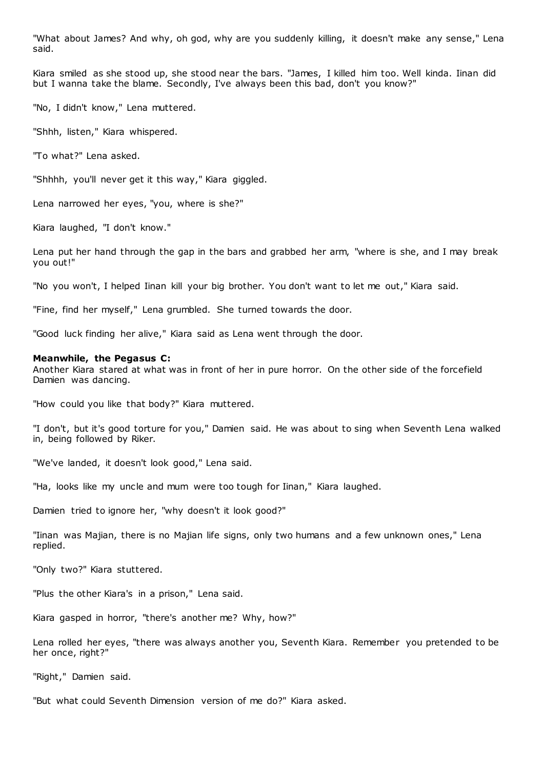"What about James? And why, oh god, why are you suddenly killing, it doesn't make any sense," Lena said.

Kiara smiled as she stood up, she stood near the bars. "James, I killed him too. Well kinda. Iinan did but I wanna take the blame. Secondly, I've always been this bad, don't you know?"

"No, I didn't know," Lena muttered.

"Shhh, listen," Kiara whispered.

"To what?" Lena asked.

"Shhhh, you'll never get it this way," Kiara giggled.

Lena narrowed her eyes, "you, where is she?"

Kiara laughed, "I don't know."

Lena put her hand through the gap in the bars and grabbed her arm, "where is she, and I may break you out!"

"No you won't, I helped Iinan kill your big brother. You don't want to let me out," Kiara said.

"Fine, find her myself," Lena grumbled. She turned towards the door.

"Good luck finding her alive," Kiara said as Lena went through the door.

#### **Meanwhile, the Pegasus C:**

Another Kiara stared at what was in front of her in pure horror. On the other side of the forcefield Damien was dancing.

"How could you like that body?" Kiara muttered.

"I don't, but it's good torture for you," Damien said. He was about to sing when Seventh Lena walked in, being followed by Riker.

"We've landed, it doesn't look good," Lena said.

"Ha, looks like my uncle and mum were too tough for Iinan," Kiara laughed.

Damien tried to ignore her, "why doesn't it look good?"

"Iinan was Majian, there is no Majian life signs, only two humans and a few unknown ones," Lena replied.

"Only two?" Kiara stuttered.

"Plus the other Kiara's in a prison," Lena said.

Kiara gasped in horror, "there's another me? Why, how?"

Lena rolled her eyes, "there was always another you, Seventh Kiara. Remember you pretended to be her once, right?"

"Right," Damien said.

"But what could Seventh Dimension version of me do?" Kiara asked.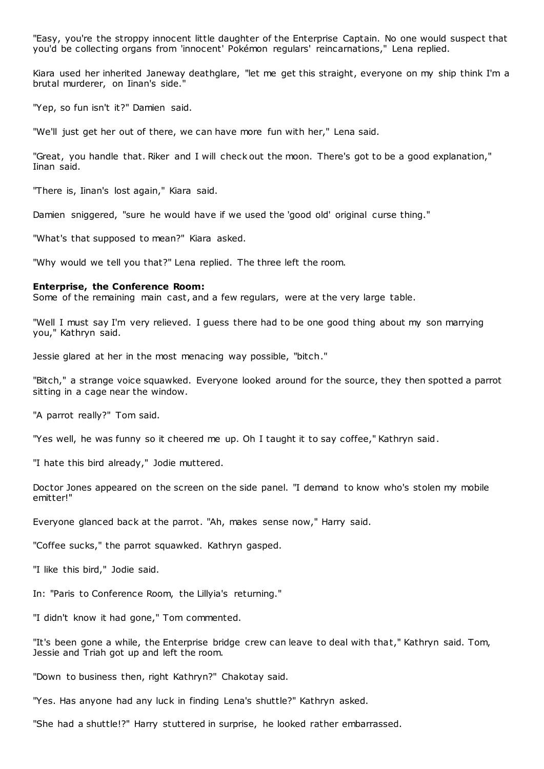"Easy, you're the stroppy innocent little daughter of the Enterprise Captain. No one would suspect that you'd be collecting organs from 'innocent' Pokémon regulars' reincarnations," Lena replied.

Kiara used her inherited Janeway deathglare, "let me get this straight, everyone on my ship think I'm a brutal murderer, on Iinan's side."

"Yep, so fun isn't it?" Damien said.

"We'll just get her out of there, we can have more fun with her," Lena said.

"Great, you handle that. Riker and I will check out the moon. There's got to be a good explanation," Iinan said.

"There is, Iinan's lost again," Kiara said.

Damien sniggered, "sure he would have if we used the 'good old' original curse thing."

"What's that supposed to mean?" Kiara asked.

"Why would we tell you that?" Lena replied. The three left the room.

#### **Enterprise, the Conference Room:**

Some of the remaining main cast, and a few regulars, were at the very large table.

"Well I must say I'm very relieved. I guess there had to be one good thing about my son marrying you," Kathryn said.

Jessie glared at her in the most menacing way possible, "bitch."

"Bitch," a strange voice squawked. Everyone looked around for the source, they then spotted a parrot sitting in a cage near the window.

"A parrot really?" Tom said.

"Yes well, he was funny so it cheered me up. Oh I taught it to say coffee," Kathryn said.

"I hate this bird already," Jodie muttered.

Doctor Jones appeared on the screen on the side panel. "I demand to know who's stolen my mobile emitter!"

Everyone glanced back at the parrot. "Ah, makes sense now," Harry said.

"Coffee sucks," the parrot squawked. Kathryn gasped.

"I like this bird," Jodie said.

In: "Paris to Conference Room, the Lillyia's returning."

"I didn't know it had gone," Tom commented.

"It's been gone a while, the Enterprise bridge crew can leave to deal with that," Kathryn said. Tom, Jessie and Triah got up and left the room.

"Down to business then, right Kathryn?" Chakotay said.

"Yes. Has anyone had any luck in finding Lena's shuttle?" Kathryn asked.

"She had a shuttle!?" Harry stuttered in surprise, he looked rather embarrassed.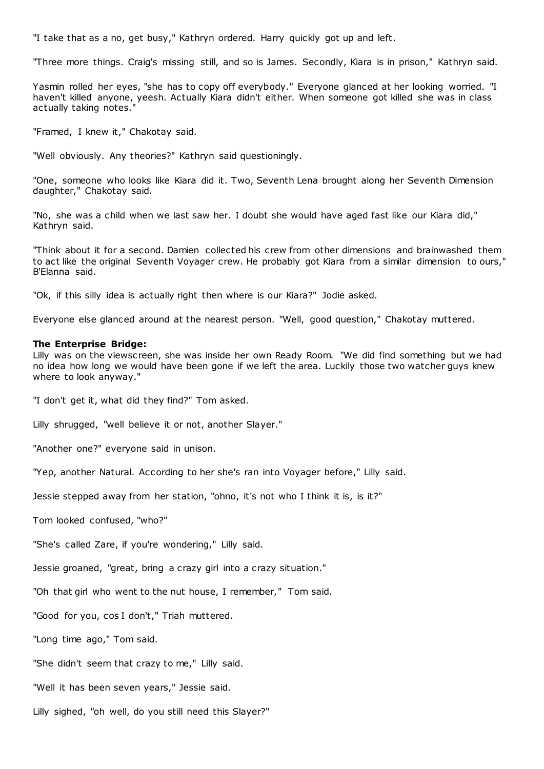"I take that as a no, get busy," Kathryn ordered. Harry quickly got up and left.

"Three more things. Craig's missing still, and so is James. Secondly, Kiara is in prison," Kathryn said.

Yasmin rolled her eyes, "she has to copy off everybody." Everyone glanced at her looking worried. "I haven't killed anyone, yeesh. Actually Kiara didn't either. When someone got killed she was in class actually taking notes.

"Framed, I knew it," Chakotay said.

"Well obviously. Any theories?" Kathryn said questioningly.

"One, someone who looks like Kiara did it. Two, Seventh Lena brought along her Seventh Dimension daughter," Chakotay said.

"No, she was a child when we last saw her. I doubt she would have aged fast like our Kiara did," Kathryn said.

"Think about it for a second. Damien collected his crew from other dimensions and brainwashed them to act like the original Seventh Voyager crew. He probably got Kiara from a similar dimension to ours," B'Elanna said.

"Ok, if this silly idea is actually right then where is our Kiara?" Jodie asked.

Everyone else glanced around at the nearest person. "Well, good question," Chakotay muttered.

### **The Enterprise Bridge:**

Lilly was on the viewscreen, she was inside her own Ready Room. "We did find something but we had no idea how long we would have been gone if we left the area. Luckily those two watcher guys knew where to look anyway."

"I don't get it, what did they find?" Tom asked.

Lilly shrugged, "well believe it or not, another Slayer."

"Another one?" everyone said in unison.

"Yep, another Natural. According to her she's ran into Voyager before," Lilly said.

Jessie stepped away from her station, "ohno, it's not who I think it is, is it?"

Tom looked confused, "who?"

"She's called Zare, if you're wondering," Lilly said.

Jessie groaned, "great, bring a crazy girl into a crazy situation."

"Oh that girl who went to the nut house, I remember," Tom said.

"Good for you, cos I don't," Triah muttered.

"Long time ago," Tom said.

"She didn't seem that crazy to me," Lilly said.

"Well it has been seven years," Jessie said.

Lilly sighed, "oh well, do you still need this Slayer?"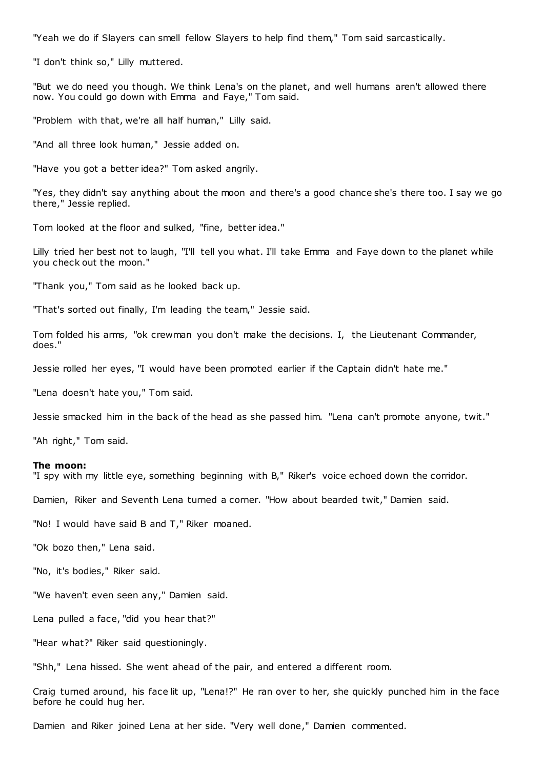"Yeah we do if Slayers can smell fellow Slayers to help find them," Tom said sarcastically.

"I don't think so," Lilly muttered.

"But we do need you though. We think Lena's on the planet, and well humans aren't allowed there now. You could go down with Emma and Faye," Tom said.

"Problem with that, we're all half human," Lilly said.

"And all three look human," Jessie added on.

"Have you got a better idea?" Tom asked angrily.

"Yes, they didn't say anything about the moon and there's a good chance she's there too. I say we go there," Jessie replied.

Tom looked at the floor and sulked, "fine, better idea."

Lilly tried her best not to laugh, "I'll tell you what. I'll take Emma and Faye down to the planet while you check out the moon."

"Thank you," Tom said as he looked back up.

"That's sorted out finally, I'm leading the team," Jessie said.

Tom folded his arms, "ok crewman you don't make the decisions. I, the Lieutenant Commander, does."

Jessie rolled her eyes, "I would have been promoted earlier if the Captain didn't hate me."

"Lena doesn't hate you," Tom said.

Jessie smacked him in the back of the head as she passed him. "Lena can't promote anyone, twit."

"Ah right," Tom said.

#### **The moon:**

"I spy with my little eye, something beginning with B," Riker's voice echoed down the corridor.

Damien, Riker and Seventh Lena turned a corner. "How about bearded twit," Damien said.

"No! I would have said B and T," Riker moaned.

"Ok bozo then," Lena said.

"No, it's bodies," Riker said.

"We haven't even seen any," Damien said.

Lena pulled a face, "did you hear that?"

"Hear what?" Riker said questioningly.

"Shh," Lena hissed. She went ahead of the pair, and entered a different room.

Craig turned around, his face lit up, "Lena!?" He ran over to her, she quickly punched him in the face before he could hug her.

Damien and Riker joined Lena at her side. "Very well done," Damien commented.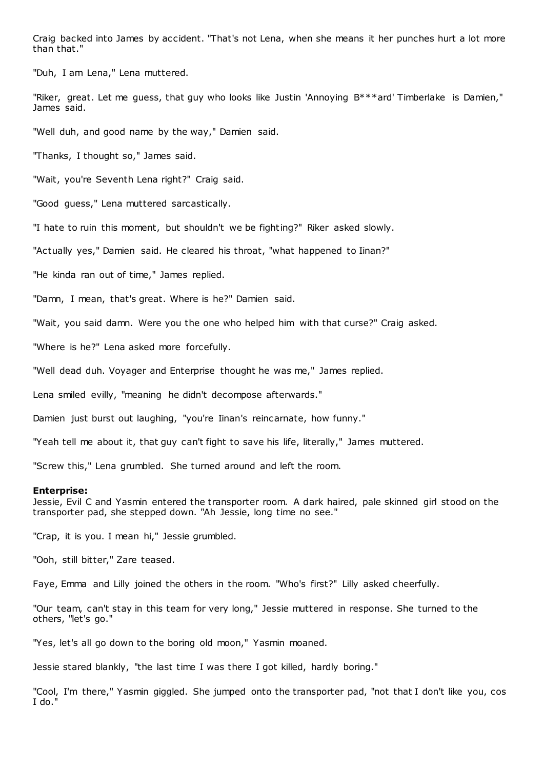Craig backed into James by accident. "That's not Lena, when she means it her punches hurt a lot more than that."

"Duh, I am Lena," Lena muttered.

"Riker, great. Let me guess, that guy who looks like Justin 'Annoying B\*\*\*ard' Timberlake is Damien," James said.

"Well duh, and good name by the way," Damien said.

"Thanks, I thought so," James said.

"Wait, you're Seventh Lena right?" Craig said.

"Good guess," Lena muttered sarcastically.

"I hate to ruin this moment, but shouldn't we be fighting?" Riker asked slowly.

"Actually yes," Damien said. He cleared his throat, "what happened to Iinan?"

"He kinda ran out of time," James replied.

"Damn, I mean, that's great. Where is he?" Damien said.

"Wait, you said damn. Were you the one who helped him with that curse?" Craig asked.

"Where is he?" Lena asked more forcefully.

"Well dead duh. Voyager and Enterprise thought he was me," James replied.

Lena smiled evilly, "meaning he didn't decompose afterwards."

Damien just burst out laughing, "you're Iinan's reincarnate, how funny."

"Yeah tell me about it, that guy can't fight to save his life, literally," James muttered.

"Screw this," Lena grumbled. She turned around and left the room.

#### **Enterprise:**

Jessie, Evil C and Yasmin entered the transporter room. A dark haired, pale skinned girl stood on the transporter pad, she stepped down. "Ah Jessie, long time no see."

"Crap, it is you. I mean hi," Jessie grumbled.

"Ooh, still bitter," Zare teased.

Faye, Emma and Lilly joined the others in the room. "Who's first?" Lilly asked cheerfully.

"Our team, can't stay in this team for very long," Jessie muttered in response. She turned to the others, "let's go."

"Yes, let's all go down to the boring old moon," Yasmin moaned.

Jessie stared blankly, "the last time I was there I got killed, hardly boring."

"Cool, I'm there," Yasmin giggled. She jumped onto the transporter pad, "not that I don't like you, cos I do."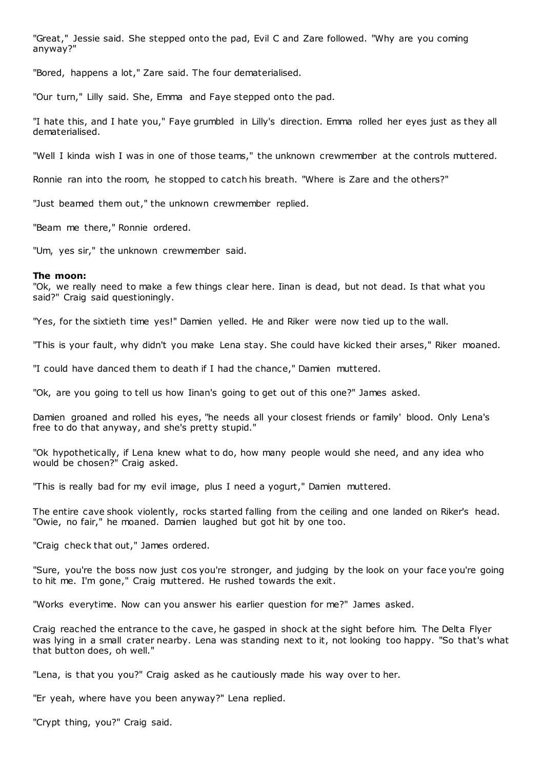"Great," Jessie said. She stepped onto the pad, Evil C and Zare followed. "Why are you coming anyway?"

"Bored, happens a lot," Zare said. The four dematerialised.

"Our turn," Lilly said. She, Emma and Faye stepped onto the pad.

"I hate this, and I hate you," Faye grumbled in Lilly's direction. Emma rolled her eyes just as they all dematerialised.

"Well I kinda wish I was in one of those teams," the unknown crewmember at the controls muttered.

Ronnie ran into the room, he stopped to catch his breath. "Where is Zare and the others?"

"Just beamed them out," the unknown crewmember replied.

"Beam me there," Ronnie ordered.

"Um, yes sir," the unknown crewmember said.

### **The moon:**

"Ok, we really need to make a few things clear here. Iinan is dead, but not dead. Is that what you said?" Craig said questioningly.

"Yes, for the sixtieth time yes!" Damien yelled. He and Riker were now tied up to the wall.

"This is your fault, why didn't you make Lena stay. She could have kicked their arses," Riker moaned.

"I could have danced them to death if I had the chance," Damien muttered.

"Ok, are you going to tell us how Iinan's going to get out of this one?" James asked.

Damien groaned and rolled his eyes, "he needs all your closest friends or family' blood. Only Lena's free to do that anyway, and she's pretty stupid."

"Ok hypothetically, if Lena knew what to do, how many people would she need, and any idea who would be chosen?" Craig asked.

"This is really bad for my evil image, plus I need a yogurt," Damien muttered.

The entire cave shook violently, rocks started falling from the ceiling and one landed on Riker's head. "Owie, no fair," he moaned. Damien laughed but got hit by one too.

"Craig check that out," James ordered.

"Sure, you're the boss now just cos you're stronger, and judging by the look on your face you're going to hit me. I'm gone," Craig muttered. He rushed towards the exit.

"Works everytime. Now can you answer his earlier question for me?" James asked.

Craig reached the entrance to the cave, he gasped in shock at the sight before him. The Delta Flyer was lying in a small crater nearby. Lena was standing next to it, not looking too happy. "So that's what that button does, oh well."

"Lena, is that you you?" Craig asked as he cautiously made his way over to her.

"Er yeah, where have you been anyway?" Lena replied.

"Crypt thing, you?" Craig said.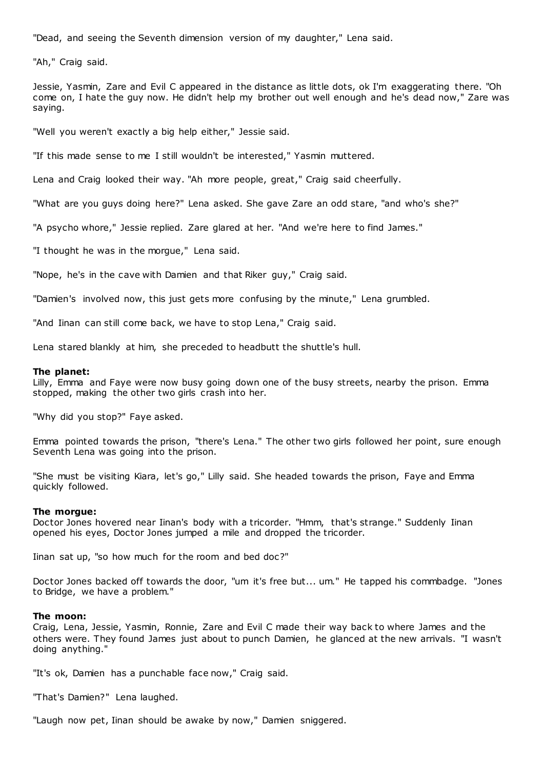"Dead, and seeing the Seventh dimension version of my daughter," Lena said.

"Ah," Craig said.

Jessie, Yasmin, Zare and Evil C appeared in the distance as little dots, ok I'm exaggerating there. "Oh come on, I hate the guy now. He didn't help my brother out well enough and he's dead now," Zare was saying.

"Well you weren't exactly a big help either," Jessie said.

"If this made sense to me I still wouldn't be interested," Yasmin muttered.

Lena and Craig looked their way. "Ah more people, great," Craig said cheerfully.

"What are you guys doing here?" Lena asked. She gave Zare an odd stare, "and who's she?"

"A psycho whore," Jessie replied. Zare glared at her. "And we're here to find James."

"I thought he was in the morgue," Lena said.

"Nope, he's in the cave with Damien and that Riker guy," Craig said.

"Damien's involved now, this just gets more confusing by the minute," Lena grumbled.

"And Iinan can still come back, we have to stop Lena," Craig said.

Lena stared blankly at him, she preceded to headbutt the shuttle's hull.

### **The planet:**

Lilly, Emma and Faye were now busy going down one of the busy streets, nearby the prison. Emma stopped, making the other two girls crash into her.

"Why did you stop?" Faye asked.

Emma pointed towards the prison, "there's Lena." The other two girls followed her point, sure enough Seventh Lena was going into the prison.

"She must be visiting Kiara, let's go," Lilly said. She headed towards the prison, Faye and Emma quickly followed.

### **The morgue:**

Doctor Jones hovered near Iinan's body with a tricorder. "Hmm, that's strange." Suddenly Iinan opened his eyes, Doctor Jones jumped a mile and dropped the tricorder.

Iinan sat up, "so how much for the room and bed doc?"

Doctor Jones backed off towards the door, "um it's free but... um." He tapped his commbadge. "Jones to Bridge, we have a problem."

### **The moon:**

Craig, Lena, Jessie, Yasmin, Ronnie, Zare and Evil C made their way back to where James and the others were. They found James just about to punch Damien, he glanced at the new arrivals. "I wasn't doing anything."

"It's ok, Damien has a punchable face now," Craig said.

"That's Damien?" Lena laughed.

"Laugh now pet, Iinan should be awake by now," Damien sniggered.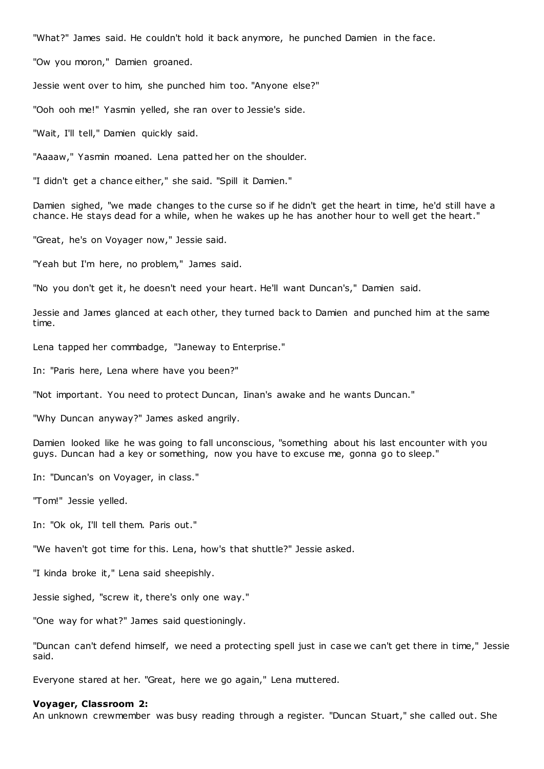"What?" James said. He couldn't hold it back anymore, he punched Damien in the face.

"Ow you moron," Damien groaned.

Jessie went over to him, she punched him too. "Anyone else?"

"Ooh ooh me!" Yasmin yelled, she ran over to Jessie's side.

"Wait, I'll tell," Damien quickly said.

"Aaaaw," Yasmin moaned. Lena patted her on the shoulder.

"I didn't get a chance either," she said. "Spill it Damien."

Damien sighed, "we made changes to the curse so if he didn't get the heart in time, he'd still have a chance. He stays dead for a while, when he wakes up he has another hour to well get the heart."

"Great, he's on Voyager now," Jessie said.

"Yeah but I'm here, no problem," James said.

"No you don't get it, he doesn't need your heart. He'll want Duncan's," Damien said.

Jessie and James glanced at each other, they turned back to Damien and punched him at the same time.

Lena tapped her commbadge, "Janeway to Enterprise."

In: "Paris here, Lena where have you been?"

"Not important. You need to protect Duncan, Iinan's awake and he wants Duncan."

"Why Duncan anyway?" James asked angrily.

Damien looked like he was going to fall unconscious, "something about his last encounter with you guys. Duncan had a key or something, now you have to excuse me, gonna go to sleep."

In: "Duncan's on Voyager, in class."

"Tom!" Jessie yelled.

In: "Ok ok, I'll tell them. Paris out."

"We haven't got time for this. Lena, how's that shuttle?" Jessie asked.

"I kinda broke it," Lena said sheepishly.

Jessie sighed, "screw it, there's only one way."

"One way for what?" James said questioningly.

"Duncan can't defend himself, we need a protecting spell just in case we can't get there in time," Jessie said.

Everyone stared at her. "Great, here we go again," Lena muttered.

#### **Voyager, Classroom 2:**

An unknown crewmember was busy reading through a register. "Duncan Stuart," she called out. She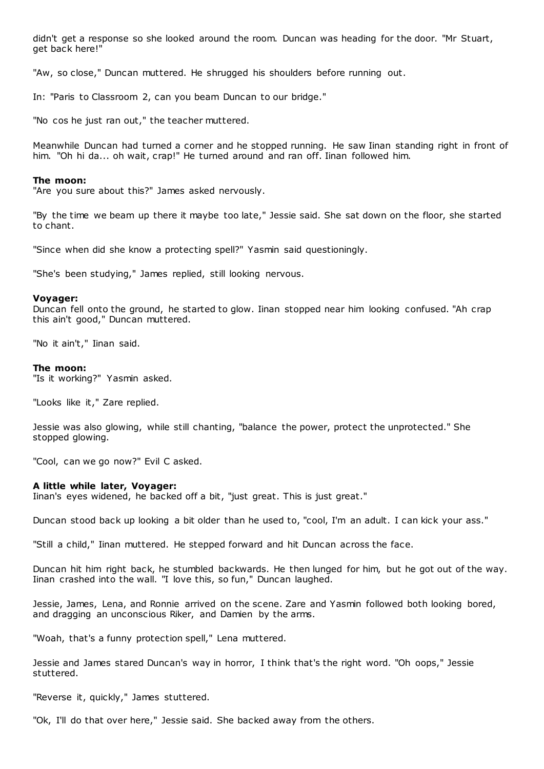didn't get a response so she looked around the room. Duncan was heading for the door. "Mr Stuart, get back here!"

"Aw, so close," Duncan muttered. He shrugged his shoulders before running out.

In: "Paris to Classroom 2, can you beam Duncan to our bridge."

"No cos he just ran out," the teacher muttered.

Meanwhile Duncan had turned a corner and he stopped running. He saw Iinan standing right in front of him. "Oh hi da... oh wait, crap!" He turned around and ran off. Iinan followed him.

#### **The moon:**

"Are you sure about this?" James asked nervously.

"By the time we beam up there it maybe too late," Jessie said. She sat down on the floor, she started to chant.

"Since when did she know a protecting spell?" Yasmin said questioningly.

"She's been studying," James replied, still looking nervous.

### **Voyager:**

Duncan fell onto the ground, he started to glow. Iinan stopped near him looking confused. "Ah crap this ain't good," Duncan muttered.

"No it ain't," Iinan said.

#### **The moon:**

"Is it working?" Yasmin asked.

"Looks like it," Zare replied.

Jessie was also glowing, while still chanting, "balance the power, protect the unprotected." She stopped glowing.

"Cool, can we go now?" Evil C asked.

### **A little while later, Voyager:**

Iinan's eyes widened, he backed off a bit, "just great. This is just great."

Duncan stood back up looking a bit older than he used to, "cool, I'm an adult. I can kick your ass."

"Still a child," Iinan muttered. He stepped forward and hit Duncan across the face.

Duncan hit him right back, he stumbled backwards. He then lunged for him, but he got out of the way. Iinan crashed into the wall. "I love this, so fun," Duncan laughed.

Jessie, James, Lena, and Ronnie arrived on the scene. Zare and Yasmin followed both looking bored, and dragging an unconscious Riker, and Damien by the arms.

"Woah, that's a funny protection spell," Lena muttered.

Jessie and James stared Duncan's way in horror, I think that's the right word. "Oh oops," Jessie stuttered.

"Reverse it, quickly," James stuttered.

"Ok, I'll do that over here," Jessie said. She backed away from the others.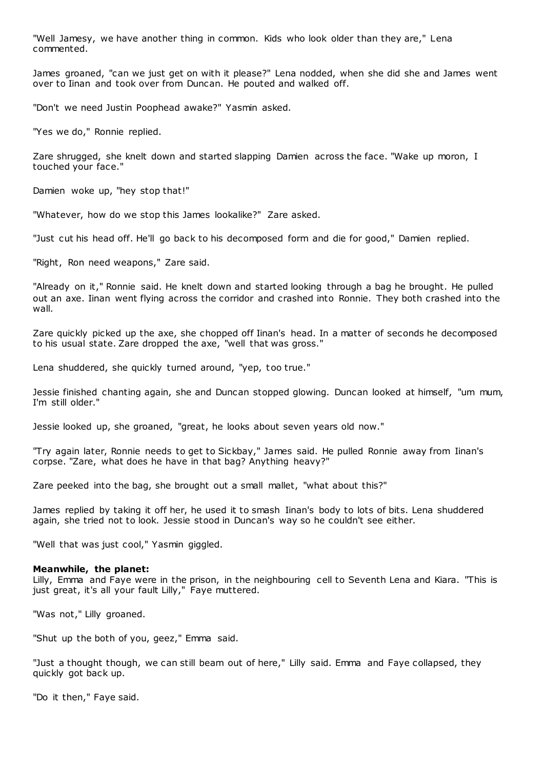"Well Jamesy, we have another thing in common. Kids who look older than they are," Lena commented.

James groaned, "can we just get on with it please?" Lena nodded, when she did she and James went over to Iinan and took over from Duncan. He pouted and walked off.

"Don't we need Justin Poophead awake?" Yasmin asked.

"Yes we do," Ronnie replied.

Zare shrugged, she knelt down and started slapping Damien across the face. "Wake up moron, I touched your face."

Damien woke up, "hey stop that!"

"Whatever, how do we stop this James lookalike?" Zare asked.

"Just cut his head off. He'll go back to his decomposed form and die for good," Damien replied.

"Right, Ron need weapons," Zare said.

"Already on it," Ronnie said. He knelt down and started looking through a bag he brought. He pulled out an axe. Iinan went flying across the corridor and crashed into Ronnie. They both crashed into the wall.

Zare quickly picked up the axe, she chopped off Iinan's head. In a matter of seconds he decomposed to his usual state. Zare dropped the axe, "well that was gross."

Lena shuddered, she quickly turned around, "yep, too true."

Jessie finished chanting again, she and Duncan stopped glowing. Duncan looked at himself, "um mum, I'm still older."

Jessie looked up, she groaned, "great, he looks about seven years old now."

"Try again later, Ronnie needs to get to Sickbay," James said. He pulled Ronnie away from Iinan's corpse. "Zare, what does he have in that bag? Anything heavy?"

Zare peeked into the bag, she brought out a small mallet, "what about this?"

James replied by taking it off her, he used it to smash Iinan's body to lots of bits. Lena shuddered again, she tried not to look. Jessie stood in Duncan's way so he couldn't see either.

"Well that was just cool," Yasmin giggled.

### **Meanwhile, the planet:**

Lilly, Emma and Faye were in the prison, in the neighbouring cell to Seventh Lena and Kiara. "This is just great, it's all your fault Lilly," Faye muttered.

"Was not," Lilly groaned.

"Shut up the both of you, geez," Emma said.

"Just a thought though, we can still beam out of here," Lilly said. Emma and Faye collapsed, they quickly got back up.

"Do it then," Faye said.